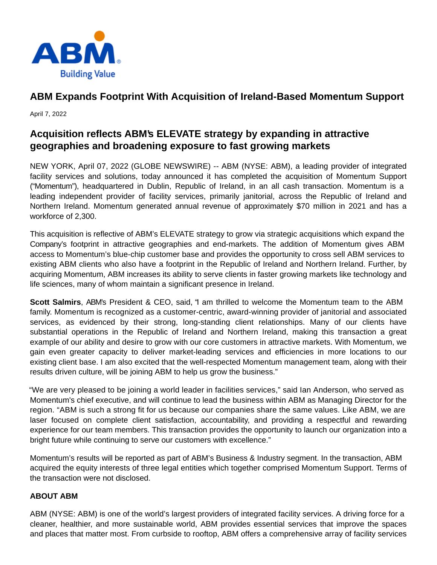

# **ABM Expands Footprint With Acquisition of Ireland-Based Momentum Support**

April 7, 2022

## **Acquisition reflects ABM's ELEVATE strategy by expanding in attractive geographies and broadening exposure to fast growing markets**

NEW YORK, April 07, 2022 (GLOBE NEWSWIRE) -- ABM (NYSE: ABM), a leading provider of integrated facility services and solutions, today announced it has completed the acquisition of Momentum Support ("Momentum"), headquartered in Dublin, Republic of Ireland, in an all cash transaction. Momentum is a leading independent provider of facility services, primarily janitorial, across the Republic of Ireland and Northern Ireland. Momentum generated annual revenue of approximately \$70 million in 2021 and has a workforce of 2,300.

This acquisition is reflective of ABM's ELEVATE strategy to grow via strategic acquisitions which expand the Company's footprint in attractive geographies and end-markets. The addition of Momentum gives ABM access to Momentum's blue-chip customer base and provides the opportunity to cross sell ABM services to existing ABM clients who also have a footprint in the Republic of Ireland and Northern Ireland. Further, by acquiring Momentum, ABM increases its ability to serve clients in faster growing markets like technology and life sciences, many of whom maintain a significant presence in Ireland.

**Scott Salmirs**, ABM's President & CEO, said, "I am thrilled to welcome the Momentum team to the ABM family. Momentum is recognized as a customer-centric, award-winning provider of janitorial and associated services, as evidenced by their strong, long-standing client relationships. Many of our clients have substantial operations in the Republic of Ireland and Northern Ireland, making this transaction a great example of our ability and desire to grow with our core customers in attractive markets. With Momentum, we gain even greater capacity to deliver market-leading services and efficiencies in more locations to our existing client base. I am also excited that the well-respected Momentum management team, along with their results driven culture, will be joining ABM to help us grow the business."

"We are very pleased to be joining a world leader in facilities services," said Ian Anderson, who served as Momentum's chief executive, and will continue to lead the business within ABM as Managing Director for the region. "ABM is such a strong fit for us because our companies share the same values. Like ABM, we are laser focused on complete client satisfaction, accountability, and providing a respectful and rewarding experience for our team members. This transaction provides the opportunity to launch our organization into a bright future while continuing to serve our customers with excellence."

Momentum's results will be reported as part of ABM's Business & Industry segment. In the transaction, ABM acquired the equity interests of three legal entities which together comprised Momentum Support. Terms of the transaction were not disclosed.

### **ABOUT ABM**

ABM (NYSE: ABM) is one of the world's largest providers of integrated facility services. A driving force for a cleaner, healthier, and more sustainable world, ABM provides essential services that improve the spaces and places that matter most. From curbside to rooftop, ABM offers a comprehensive array of facility services